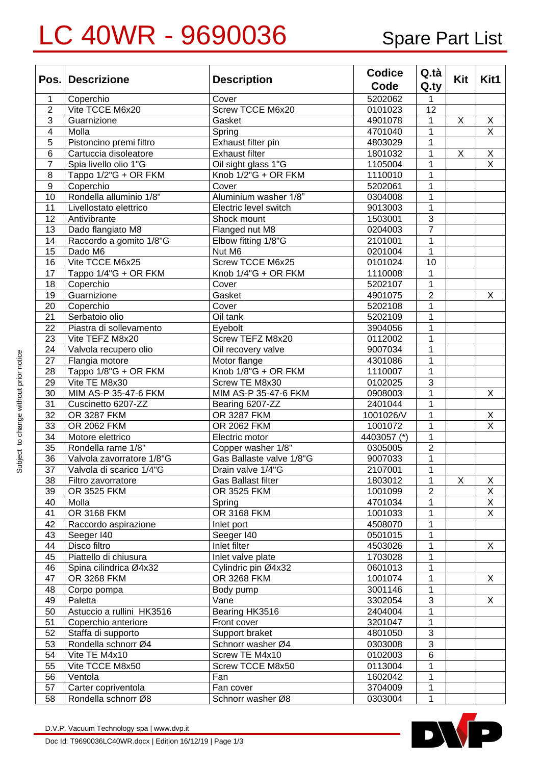## LC 40WR - 9690036 Spare Part List

|                         | Pos. Descrizione          | <b>Description</b>                          | <b>Codice</b> | Q.tà           | Kit | Kit1                    |
|-------------------------|---------------------------|---------------------------------------------|---------------|----------------|-----|-------------------------|
|                         |                           |                                             | Code          | Q.ty           |     |                         |
| 1                       | Coperchio                 | Cover                                       | 5202062       |                |     |                         |
| $\overline{2}$          | Vite TCCE M6x20           | Screw TCCE M6x20                            | 0101023       | 12             |     |                         |
| $\overline{3}$          | Guarnizione               | Gasket                                      | 4901078       | 1              | Χ   | $\overline{X}$          |
| $\overline{\mathbf{4}}$ | Molla                     | Spring                                      | 4701040       | 1              |     | $\overline{X}$          |
| 5                       | Pistoncino premi filtro   | Exhaust filter pin                          | 4803029       | 1              |     |                         |
| 6                       | Cartuccia disoleatore     | <b>Exhaust filter</b>                       | 1801032       | 1              | X   | $\overline{X}$          |
| $\overline{7}$          | Spia livello olio 1"G     | Oil sight glass 1"G                         | 1105004       | 1              |     | $\overline{\mathsf{x}}$ |
| 8                       | Tappo 1/2"G + OR FKM      | $\overline{\text{Kn}}$ ob 1/2" $G$ + OR FKM | 1110010       |                |     |                         |
| $\overline{9}$          | Coperchio                 | Cover                                       | 5202061       | 1              |     |                         |
| 10                      | Rondella alluminio 1/8"   | Aluminium washer 1/8"                       | 0304008       | 1              |     |                         |
| 11                      | Livellostato elettrico    | Electric level switch                       | 9013003       | 1              |     |                         |
| 12                      | Antivibrante              | Shock mount                                 | 1503001       | 3              |     |                         |
| 13                      | Dado flangiato M8         | Flanged nut M8                              | 0204003       | $\overline{7}$ |     |                         |
| 14                      | Raccordo a gomito 1/8"G   | Elbow fitting 1/8"G                         | 2101001       | 1              |     |                         |
| 15                      | Dado M6                   | Nut M6                                      | 0201004       | 1              |     |                         |
| 16                      | Vite TCCE M6x25           | Screw TCCE M6x25                            | 0101024       | 10             |     |                         |
| 17                      | Tappo 1/4"G + OR FKM      | Knob 1/4"G + OR FKM                         | 1110008       | 1              |     |                         |
| 18                      | Coperchio                 | Cover                                       | 5202107       | 1              |     |                         |
| 19                      | Guarnizione               | Gasket                                      | 4901075       | $\overline{2}$ |     | X                       |
| 20                      | Coperchio                 | Cover                                       | 5202108       | 1              |     |                         |
| 21                      | Serbatoio olio            | Oil tank                                    | 5202109       | 1              |     |                         |
| 22                      | Piastra di sollevamento   | Eyebolt                                     | 3904056       |                |     |                         |
| 23                      | Vite TEFZ M8x20           | Screw TEFZ M8x20                            | 0112002       | 1              |     |                         |
| 24                      | Valvola recupero olio     | Oil recovery valve                          | 9007034       |                |     |                         |
| 27                      | Flangia motore            | Motor flange                                | 4301086       | 1              |     |                         |
| 28                      | Tappo 1/8"G + OR FKM      | Knob 1/8"G + OR FKM                         | 1110007       | 1              |     |                         |
| 29                      | Vite TE M8x30             | Screw TE M8x30                              | 0102025       | 3              |     |                         |
| 30                      | MIM AS-P 35-47-6 FKM      | MIM AS-P 35-47-6 FKM                        | 0908003       | 1              |     | X                       |
| 31                      | Cuscinetto 6207-ZZ        | Bearing 6207-ZZ                             | 2401044       |                |     |                         |
| 32                      | OR 3287 FKM               | OR 3287 FKM                                 | 1001026/V     | 1              |     | X                       |
| 33                      | OR 2062 FKM               | OR 2062 FKM                                 | 1001072       |                |     | $\overline{\mathsf{x}}$ |
| 34                      | Motore elettrico          | Electric motor                              | 4403057 (*)   | 1              |     |                         |
| 35                      | Rondella rame 1/8"        | Copper washer 1/8"                          | 0305005       | $\overline{2}$ |     |                         |
| $\overline{36}$         | Valvola zavorratore 1/8"G | Gas Ballaste valve 1/8"G                    | 9007033       | 1              |     |                         |
| $\overline{37}$         | Valvola di scarico 1/4"G  | Drain valve 1/4"G                           | 2107001       | 1              |     |                         |
| 38                      | Filtro zavorratore        | Gas Ballast filter                          | 1803012       | 1              | X   | Χ                       |
| 39                      | OR 3525 FKM               | OR 3525 FKM                                 | 1001099       | $\overline{2}$ |     | $\overline{X}$          |
| 40                      | Molla                     | Spring                                      | 4701034       | 1              |     | $\overline{X}$          |
| 41                      | OR 3168 FKM               | OR 3168 FKM                                 | 1001033       | 1              |     | $\overline{X}$          |
| 42                      | Raccordo aspirazione      | Inlet port                                  | 4508070       | 1              |     |                         |
| 43                      | Seeger I40                | Seeger I40                                  | 0501015       | 1              |     |                         |
| 44                      | Disco filtro              | Inlet filter                                | 4503026       | 1              |     | X                       |
| 45                      | Piattello di chiusura     | Inlet valve plate                           | 1703028       | 1              |     |                         |
| 46                      | Spina cilindrica Ø4x32    | Cylindric pin Ø4x32                         | 0601013       | 1              |     |                         |
| 47                      | OR 3268 FKM               | OR 3268 FKM                                 | 1001074       | 1              |     | X                       |
| 48                      | Corpo pompa               | Body pump                                   | 3001146       | 1              |     |                         |
| 49                      | Paletta                   | Vane                                        | 3302054       | 3              |     | X                       |
| 50                      | Astuccio a rullini HK3516 | Bearing HK3516                              | 2404004       | 1              |     |                         |
| 51                      | Coperchio anteriore       | Front cover                                 | 3201047       | 1              |     |                         |
| 52                      | Staffa di supporto        | Support braket                              | 4801050       | 3              |     |                         |
| 53                      | Rondella schnorr Ø4       | Schnorr washer Ø4                           | 0303008       | $\sqrt{3}$     |     |                         |
| 54                      | Vite TE M4x10             | Screw TE M4x10                              | 0102003       | 6              |     |                         |
| 55                      | Vite TCCE M8x50           | Screw TCCE M8x50                            | 0113004       | 1              |     |                         |
| 56                      | Ventola                   | Fan                                         | 1602042       | 1              |     |                         |
| 57                      | Carter copriventola       | Fan cover                                   | 3704009       | 1              |     |                         |
| 58                      | Rondella schnorr Ø8       | Schnorr washer Ø8                           | 0303004       | 1              |     |                         |

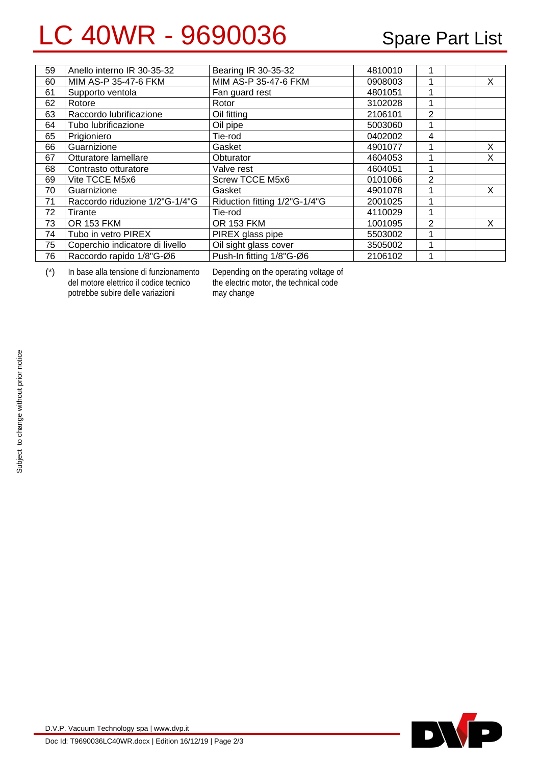## LC 40WR - 9690036 Spare Part List

| 59 | Anello interno IR 30-35-32      | Bearing IR 30-35-32           | 4810010 |                |   |
|----|---------------------------------|-------------------------------|---------|----------------|---|
| 60 | MIM AS-P 35-47-6 FKM            | MIM AS-P 35-47-6 FKM          | 0908003 |                | X |
| 61 | Supporto ventola                | Fan guard rest                | 4801051 |                |   |
| 62 | Rotore                          | Rotor                         | 3102028 |                |   |
| 63 | Raccordo lubrificazione         | Oil fitting                   | 2106101 | $\overline{2}$ |   |
| 64 | Tubo lubrificazione             | Oil pipe                      | 5003060 |                |   |
| 65 | Prigioniero                     | Tie-rod                       | 0402002 | 4              |   |
| 66 | Guarnizione                     | Gasket                        | 4901077 |                | X |
| 67 | Otturatore lamellare            | Obturator                     | 4604053 |                | X |
| 68 | Contrasto otturatore            | Valve rest                    | 4604051 |                |   |
| 69 | Vite TCCE M5x6                  | <b>Screw TCCE M5x6</b>        | 0101066 | 2              |   |
| 70 | Guarnizione                     | Gasket                        | 4901078 |                | X |
| 71 | Raccordo riduzione 1/2"G-1/4"G  | Riduction fitting 1/2"G-1/4"G | 2001025 |                |   |
| 72 | Tirante                         | Tie-rod                       | 4110029 |                |   |
| 73 | <b>OR 153 FKM</b>               | <b>OR 153 FKM</b>             | 1001095 | 2              | x |
| 74 | Tubo in vetro PIREX             | PIREX glass pipe              | 5503002 |                |   |
| 75 | Coperchio indicatore di livello | Oil sight glass cover         | 3505002 |                |   |
| 76 | Raccordo rapido 1/8"G-Ø6        | Push-In fitting 1/8"G-Ø6      | 2106102 |                |   |

(\*) In base alla tensione di funzionamento del motore elettrico il codice tecnico potrebbe subire delle variazioni

Depending on the operating voltage of the electric motor, the technical code may change